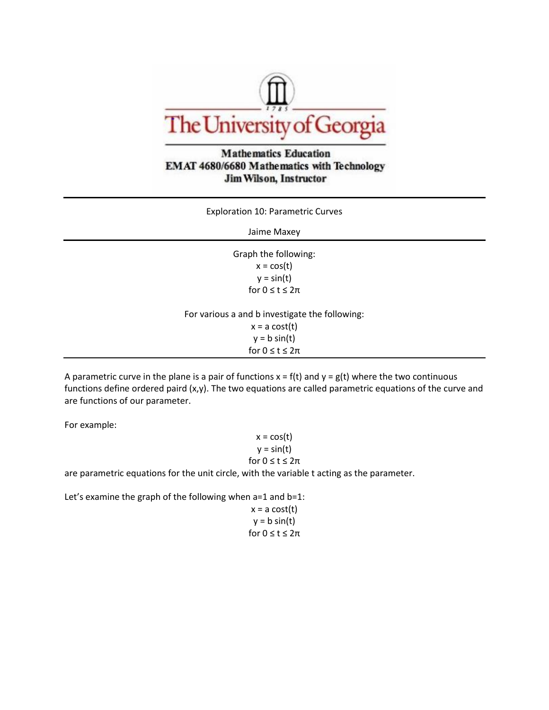

## **Mathematics Education** EMAT 4680/6680 Mathematics with Technology **Jim Wilson, Instructor**

Exploration 10: Parametric Curves

Jaime Maxey

Graph the following:  $x = cos(t)$  $y = \sin(t)$ for  $0 \le t \le 2\pi$ 

For various a and b investigate the following:  $x = a \cos(t)$ 

 $y = b \sin(t)$ for  $0 \le t \le 2\pi$ 

A parametric curve in the plane is a pair of functions  $x = f(t)$  and  $y = g(t)$  where the two continuous functions define ordered paird (x,y). The two equations are called parametric equations of the curve and are functions of our parameter.

For example:

 $x = cos(t)$  $y = sin(t)$ for  $0 \le t \le 2\pi$ 

are parametric equations for the unit circle, with the variable t acting as the parameter.

Let's examine the graph of the following when a=1 and b=1:

 $x = a \cos(t)$  $y = b \sin(t)$ for  $0 \le t \le 2\pi$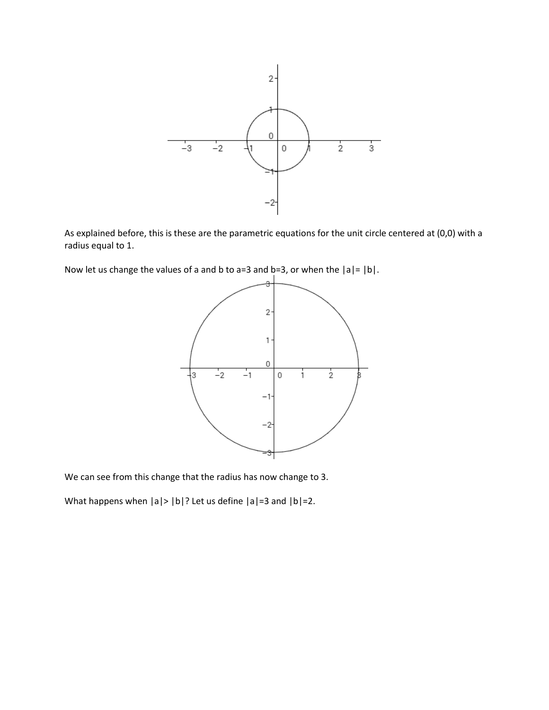

As explained before, this is these are the parametric equations for the unit circle centered at (0,0) with a radius equal to 1.

Now let us change the values of a and b to a=3 and b=3, or when the  $|a|=|b|$ .



We can see from this change that the radius has now change to 3.

What happens when  $|a|$ >  $|b|$ ? Let us define  $|a|$ =3 and  $|b|$ =2.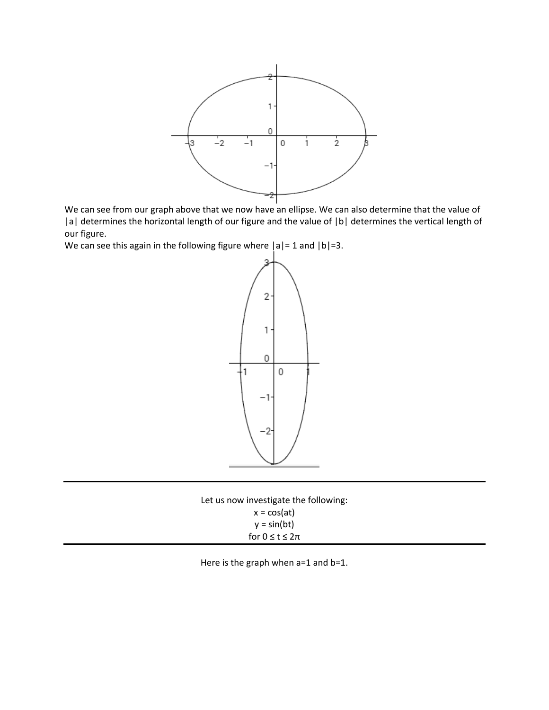

We can see from our graph above that we now have an ellipse. We can also determine that the value of |a| determines the horizontal length of our figure and the value of |b| determines the vertical length of our figure.

We can see this again in the following figure where  $|a|=1$  and  $|b|=3$ .



| Let us now investigate the following: |
|---------------------------------------|
| $x = cos(at)$                         |
| $y = sin(bt)$                         |
| for $0 \le t \le 2\pi$                |

Here is the graph when a=1 and b=1.